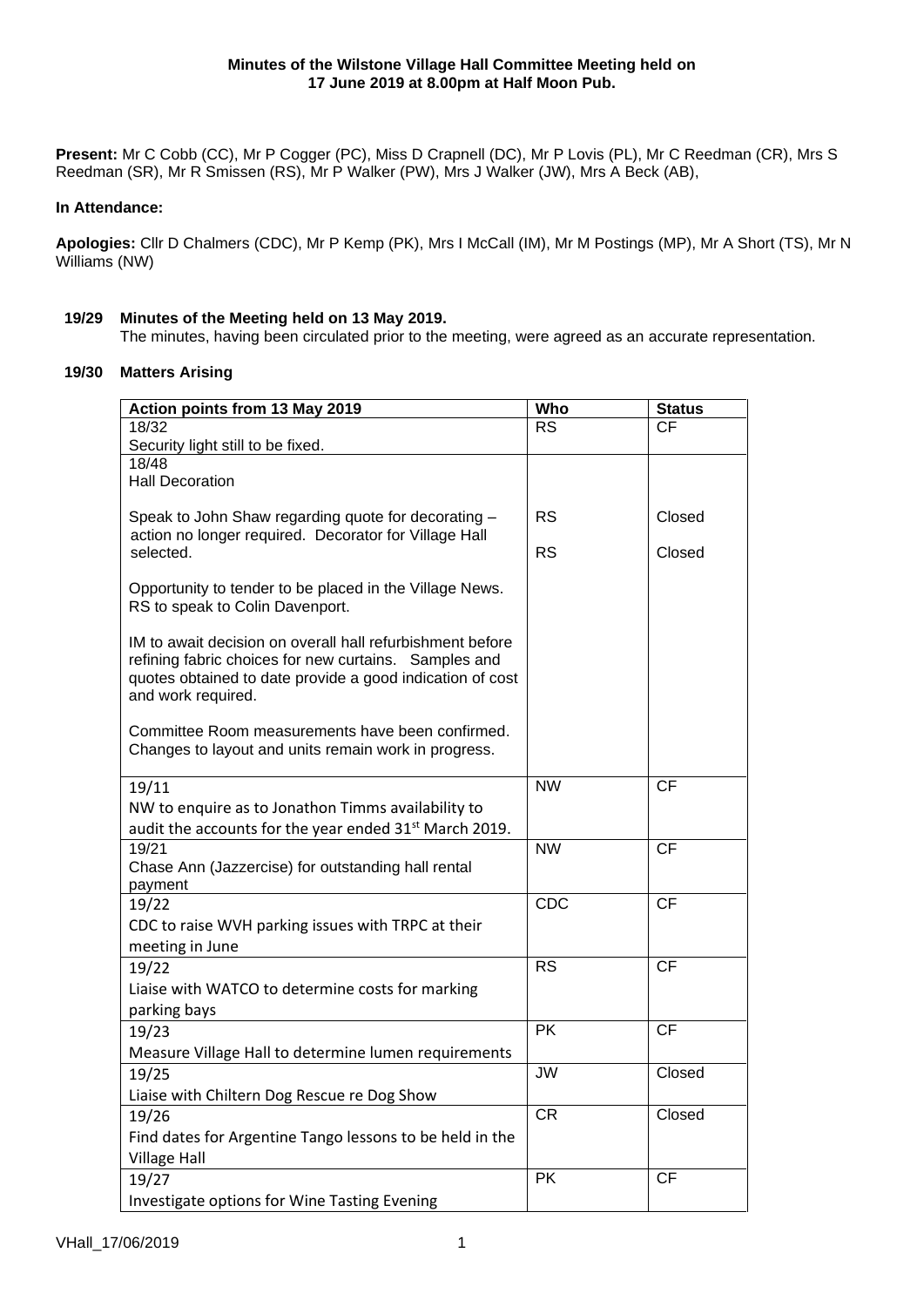**Present:** Mr C Cobb (CC), Mr P Cogger (PC), Miss D Crapnell (DC), Mr P Lovis (PL), Mr C Reedman (CR), Mrs S Reedman (SR), Mr R Smissen (RS), Mr P Walker (PW), Mrs J Walker (JW), Mrs A Beck (AB),

# **In Attendance:**

**Apologies:** Cllr D Chalmers (CDC), Mr P Kemp (PK), Mrs I McCall (IM), Mr M Postings (MP), Mr A Short (TS), Mr N Williams (NW)

# **19/29 Minutes of the Meeting held on 13 May 2019.**

The minutes, having been circulated prior to the meeting, were agreed as an accurate representation.

# **19/30 Matters Arising**

| Action points from 13 May 2019                                     | <b>Who</b>      | <b>Status</b> |
|--------------------------------------------------------------------|-----------------|---------------|
| 18/32                                                              | <b>RS</b>       | СF            |
| Security light still to be fixed.                                  |                 |               |
| 18/48                                                              |                 |               |
| <b>Hall Decoration</b>                                             |                 |               |
| Speak to John Shaw regarding quote for decorating -                | <b>RS</b>       | Closed        |
| action no longer required. Decorator for Village Hall              |                 |               |
| selected.                                                          | <b>RS</b>       | Closed        |
|                                                                    |                 |               |
| Opportunity to tender to be placed in the Village News.            |                 |               |
| RS to speak to Colin Davenport.                                    |                 |               |
| IM to await decision on overall hall refurbishment before          |                 |               |
| refining fabric choices for new curtains. Samples and              |                 |               |
| quotes obtained to date provide a good indication of cost          |                 |               |
| and work required.                                                 |                 |               |
| Committee Room measurements have been confirmed.                   |                 |               |
| Changes to layout and units remain work in progress.               |                 |               |
|                                                                    |                 |               |
| 19/11                                                              | <b>NW</b>       | CF            |
| NW to enquire as to Jonathon Timms availability to                 |                 |               |
| audit the accounts for the year ended 31 <sup>st</sup> March 2019. |                 |               |
| 19/21                                                              | <b>NW</b>       | <b>CF</b>     |
| Chase Ann (Jazzercise) for outstanding hall rental                 |                 |               |
| payment                                                            |                 |               |
| 19/22                                                              | CDC             | <b>CF</b>     |
| CDC to raise WVH parking issues with TRPC at their                 |                 |               |
| meeting in June                                                    |                 |               |
| 19/22                                                              | <b>RS</b>       | <b>CF</b>     |
| Liaise with WATCO to determine costs for marking                   |                 |               |
| parking bays                                                       |                 |               |
| 19/23                                                              | <b>PK</b>       | <b>CF</b>     |
| Measure Village Hall to determine lumen requirements               |                 | Closed        |
| 19/25                                                              | <b>JW</b>       |               |
| Liaise with Chiltern Dog Rescue re Dog Show                        |                 |               |
| 19/26                                                              | <b>CR</b>       | Closed        |
| Find dates for Argentine Tango lessons to be held in the           |                 |               |
| <b>Village Hall</b>                                                |                 |               |
| 19/27                                                              | $\overline{PK}$ | <b>CF</b>     |
| Investigate options for Wine Tasting Evening                       |                 |               |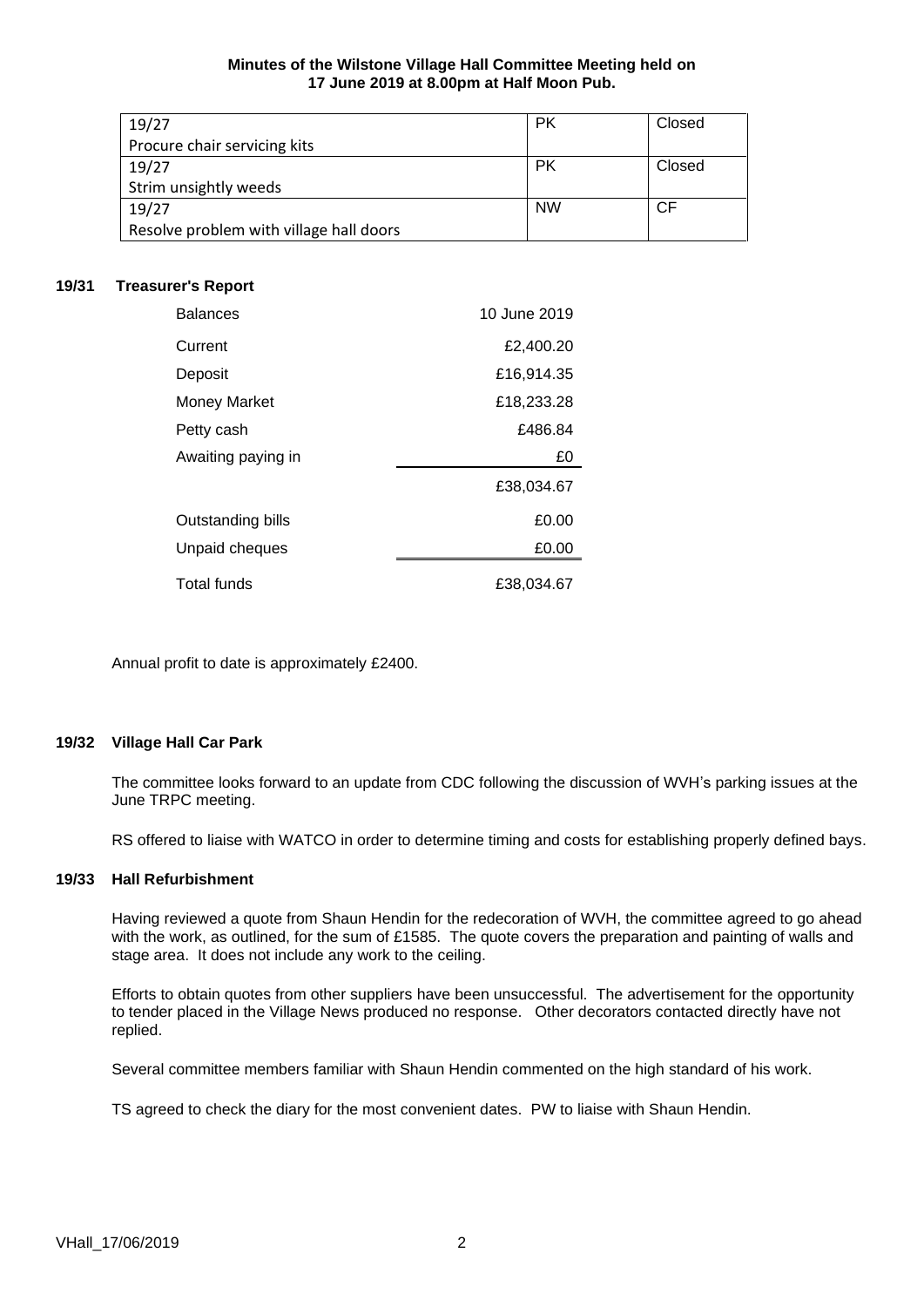#### **Minutes of the Wilstone Village Hall Committee Meeting held on 17 June 2019 at 8.00pm at Half Moon Pub.**

| 19/27                                   | <b>PK</b> | Closed |
|-----------------------------------------|-----------|--------|
| Procure chair servicing kits            |           |        |
| 19/27                                   | <b>PK</b> | Closed |
| Strim unsightly weeds                   |           |        |
| 19/27                                   | <b>NW</b> | СF     |
| Resolve problem with village hall doors |           |        |

# **19/31 Treasurer's Report**

| <b>Balances</b>     | 10 June 2019 |
|---------------------|--------------|
| Current             | £2,400.20    |
| Deposit             | £16,914.35   |
| <b>Money Market</b> | £18,233.28   |
| Petty cash          | £486.84      |
| Awaiting paying in  | £0           |
|                     | £38,034.67   |
| Outstanding bills   | £0.00        |
| Unpaid cheques      | £0.00        |
| <b>Total funds</b>  | £38,034.67   |

Annual profit to date is approximately £2400.

## **19/32 Village Hall Car Park**

The committee looks forward to an update from CDC following the discussion of WVH's parking issues at the June TRPC meeting.

RS offered to liaise with WATCO in order to determine timing and costs for establishing properly defined bays.

## **19/33 Hall Refurbishment**

Having reviewed a quote from Shaun Hendin for the redecoration of WVH, the committee agreed to go ahead with the work, as outlined, for the sum of £1585. The quote covers the preparation and painting of walls and stage area. It does not include any work to the ceiling.

Efforts to obtain quotes from other suppliers have been unsuccessful. The advertisement for the opportunity to tender placed in the Village News produced no response. Other decorators contacted directly have not replied.

Several committee members familiar with Shaun Hendin commented on the high standard of his work.

TS agreed to check the diary for the most convenient dates. PW to liaise with Shaun Hendin.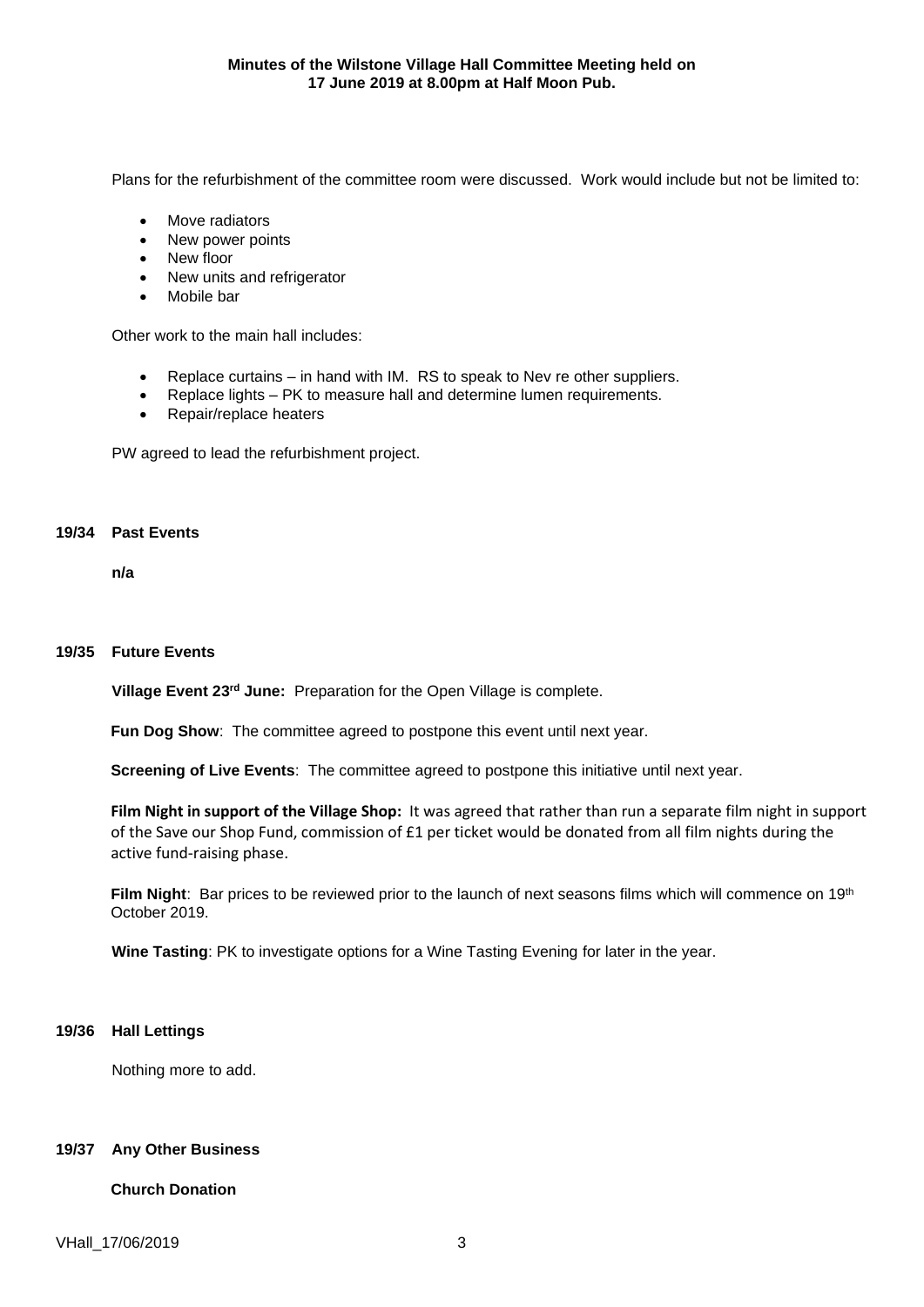Plans for the refurbishment of the committee room were discussed. Work would include but not be limited to:

- Move radiators
- New power points
- New floor
- New units and refrigerator
- Mobile bar

Other work to the main hall includes:

- Replace curtains in hand with IM. RS to speak to Nev re other suppliers.
- Replace lights PK to measure hall and determine lumen requirements.
- Repair/replace heaters

PW agreed to lead the refurbishment project.

#### **19/34 Past Events**

**n/a**

#### **19/35 Future Events**

**Village Event 23rd June:** Preparation for the Open Village is complete.

**Fun Dog Show**: The committee agreed to postpone this event until next year.

**Screening of Live Events**: The committee agreed to postpone this initiative until next year.

**Film Night in support of the Village Shop:** It was agreed that rather than run a separate film night in support of the Save our Shop Fund, commission of £1 per ticket would be donated from all film nights during the active fund-raising phase.

Film Night: Bar prices to be reviewed prior to the launch of next seasons films which will commence on 19<sup>th</sup> October 2019.

**Wine Tasting**: PK to investigate options for a Wine Tasting Evening for later in the year.

# **19/36 Hall Lettings**

Nothing more to add.

# **19/37 Any Other Business**

# **Church Donation**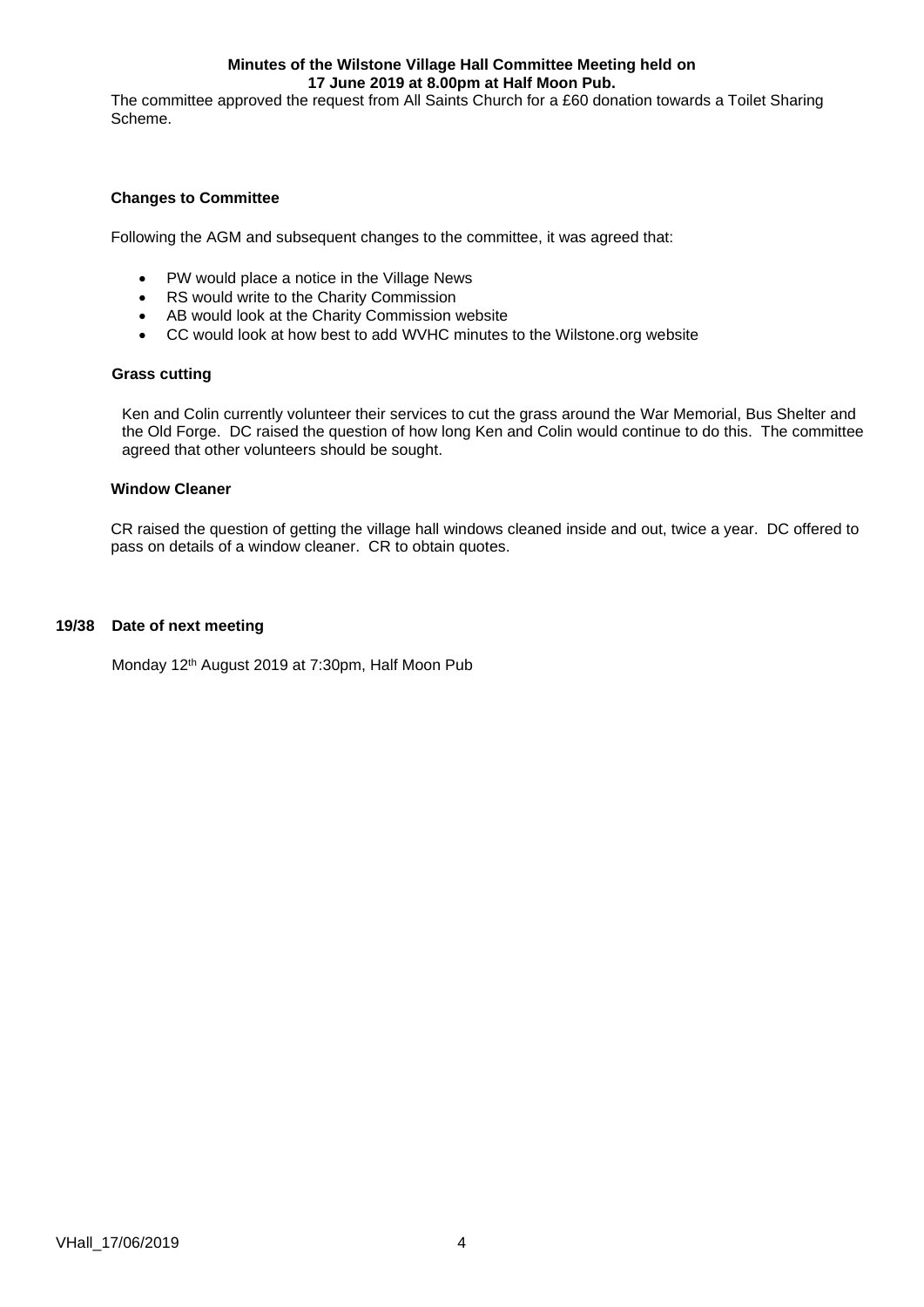#### **Minutes of the Wilstone Village Hall Committee Meeting held on 17 June 2019 at 8.00pm at Half Moon Pub.**

The committee approved the request from All Saints Church for a £60 donation towards a Toilet Sharing Scheme.

## **Changes to Committee**

Following the AGM and subsequent changes to the committee, it was agreed that:

- PW would place a notice in the Village News
- RS would write to the Charity Commission
- AB would look at the Charity Commission website
- CC would look at how best to add WVHC minutes to the Wilstone.org website

#### **Grass cutting**

Ken and Colin currently volunteer their services to cut the grass around the War Memorial, Bus Shelter and the Old Forge. DC raised the question of how long Ken and Colin would continue to do this. The committee agreed that other volunteers should be sought.

#### **Window Cleaner**

CR raised the question of getting the village hall windows cleaned inside and out, twice a year. DC offered to pass on details of a window cleaner. CR to obtain quotes.

# **19/38 Date of next meeting**

Monday 12<sup>th</sup> August 2019 at 7:30pm, Half Moon Pub